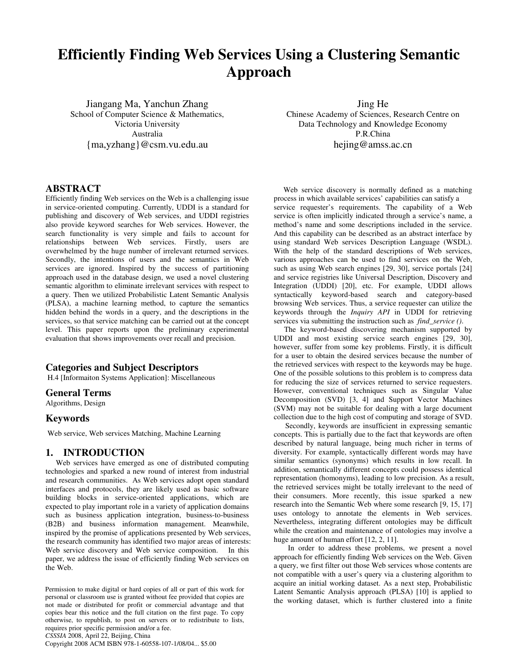# **Efficiently Finding Web Services Using a Clustering Semantic Approach**

Jiangang Ma, Yanchun Zhang School of Computer Science & Mathematics, Victoria University Australia {ma,yzhang}@csm.vu.edu.au

**ABSTRACT** 

Efficiently finding Web services on the Web is a challenging issue in service-oriented computing. Currently, UDDI is a standard for publishing and discovery of Web services, and UDDI registries also provide keyword searches for Web services. However, the search functionality is very simple and fails to account for relationships between Web services. Firstly, users are overwhelmed by the huge number of irrelevant returned services. Secondly, the intentions of users and the semantics in Web services are ignored. Inspired by the success of partitioning approach used in the database design, we used a novel clustering semantic algorithm to eliminate irrelevant services with respect to a query. Then we utilized Probabilistic Latent Semantic Analysis (PLSA), a machine learning method, to capture the semantics hidden behind the words in a query, and the descriptions in the services, so that service matching can be carried out at the concept level. This paper reports upon the preliminary experimental evaluation that shows improvements over recall and precision.

# **Categories and Subject Descriptors**

H.4 [Informaiton Systems Application]: Miscellaneous

### **General Terms**

Algorithms, Design

### **Keywords**

Web service, Web services Matching, Machine Learning

## **1. INTRODUCTION**

Web services have emerged as one of distributed computing technologies and sparked a new round of interest from industrial and research communities. As Web services adopt open standard interfaces and protocols, they are likely used as basic software building blocks in service-oriented applications, which are expected to play important role in a variety of application domains such as business application integration, business-to-business (B2B) and business information management. Meanwhile, inspired by the promise of applications presented by Web services, the research community has identified two major areas of interests: Web service discovery and Web service composition. In this paper, we address the issue of efficiently finding Web services on the Web.

Permission to make digital or hard copies of all or part of this work for personal or classroom use is granted without fee provided that copies are not made or distributed for profit or commercial advantage and that copies bear this notice and the full citation on the first page. To copy otherwise, to republish, to post on servers or to redistribute to lists, requires prior specific permission and/or a fee. *CSSSIA* 2008, April 22, Beijing, China

Copyright 2008 ACM ISBN 978-1-60558-107-1/08/04... \$5.00

Jing He Chinese Academy of Sciences, Research Centre on Data Technology and Knowledge Economy P.R.China hejing@amss.ac.cn

 Web service discovery is normally defined as a matching process in which available services' capabilities can satisfy a service requester's requirements. The capability of a Web service is often implicitly indicated through a service's name, a method's name and some descriptions included in the service. And this capability can be described as an abstract interface by using standard Web services Description Language (WSDL). With the help of the standard descriptions of Web services, various approaches can be used to find services on the Web, such as using Web search engines [29, 30], service portals [24] and service registries like Universal Description, Discovery and Integration (UDDI) [20], etc. For example, UDDI allows syntactically keyword-based search and category-based browsing Web services. Thus, a service requester can utilize the keywords through the *Inquiry API* in UDDI for retrieving services via submitting the instruction such as *find\_service ()*.

The keyword-based discovering mechanism supported by UDDI and most existing service search engines [29, 30], however, suffer from some key problems. Firstly, it is difficult for a user to obtain the desired services because the number of the retrieved services with respect to the keywords may be huge. One of the possible solutions to this problem is to compress data for reducing the size of services returned to service requesters. However, conventional techniques such as Singular Value Decomposition (SVD) [3, 4] and Support Vector Machines (SVM) may not be suitable for dealing with a large document collection due to the high cost of computing and storage of SVD.

 Secondly, keywords are insufficient in expressing semantic concepts. This is partially due to the fact that keywords are often described by natural language, being much richer in terms of diversity. For example, syntactically different words may have similar semantics (synonyms) which results in low recall. In addition, semantically different concepts could possess identical representation (homonyms), leading to low precision. As a result, the retrieved services might be totally irrelevant to the need of their consumers. More recently, this issue sparked a new research into the Semantic Web where some research [9, 15, 17] uses ontology to annotate the elements in Web services. Nevertheless, integrating different ontologies may be difficult while the creation and maintenance of ontologies may involve a huge amount of human effort [12, 2, 11].

 In order to address these problems, we present a novel approach for efficiently finding Web services on the Web. Given a query, we first filter out those Web services whose contents are not compatible with a user's query via a clustering algorithm to acquire an initial working dataset. As a next step, Probabilistic Latent Semantic Analysis approach (PLSA) [10] is applied to the working dataset, which is further clustered into a finite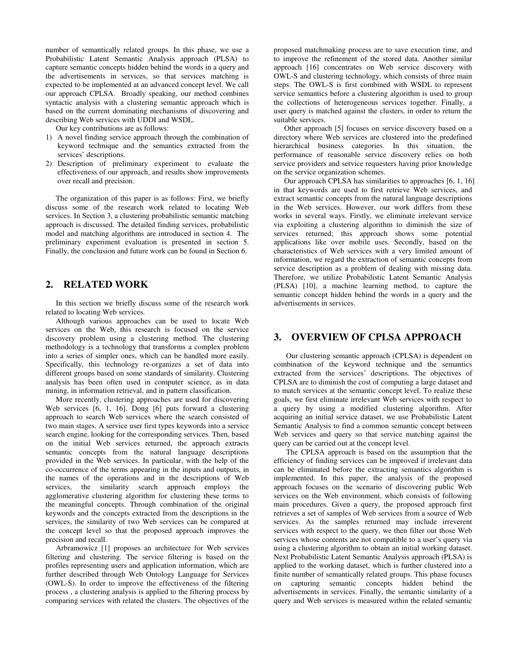number of semantically related groups. In this phase, we use a Probabilistic Latent Semantic Analysis approach (PLSA) to capture semantic concepts hidden behind the words in a query and the advertisements in services, so that services matching is expected to be implemented at an advanced concept level. We call our approach CPLSA. Broadly speaking, our method combines syntactic analysis with a clustering semantic approach which is based on the current dominating mechanisms of discovering and describing Web services with UDDI and WSDL.

Our key contributions are as follows:

- 1) A novel finding service approach through the combination of keyword technique and the semantics extracted from the services' descriptions.
- 2) Description of preliminary experiment to evaluate the effectiveness of our approach, and results show improvements over recall and precision.

The organization of this paper is as follows: First, we briefly discuss some of the research work related to locating Web services. In Section 3, a clustering probabilistic semantic matching approach is discussed. The detailed finding services, probabilistic model and matching algorithms are introduced in section 4. The preliminary experiment evaluation is presented in section 5. Finally, the conclusion and future work can be found in Section 6.

# **2. RELATED WORK**

In this section we briefly discuss some of the research work related to locating Web services.

Although various approaches can be used to locate Web services on the Web, this research is focused on the service discovery problem using a clustering method. The clustering methodology is a technology that transforms a complex problem into a series of simpler ones, which can be handled more easily. Specifically, this technology re-organizes a set of data into different groups based on some standards of similarity. Clustering analysis has been often used in computer science, as in data mining, in information retrieval, and in pattern classification.

More recently, clustering approaches are used for discovering Web services [6, 1, 16]. Dong [6] puts forward a clustering approach to search Web services where the search consisted of two main stages. A service user first types keywords into a service search engine, looking for the corresponding services. Then, based on the initial Web services returned, the approach extracts semantic concepts from the natural language descriptions provided in the Web services. In particular, with the help of the co-occurrence of the terms appearing in the inputs and outputs, in the names of the operations and in the descriptions of Web services, the similarity search approach employs the agglomerative clustering algorithm for clustering these terms to the meaningful concepts. Through combination of the original keywords and the concepts extracted from the descriptions in the services, the similarity of two Web services can be compared at the concept level so that the proposed approach improves the precision and recall.

Arbramowicz [1] proposes an architecture for Web services filtering and clustering. The service filtering is based on the profiles representing users and application information, which are further described through Web Ontology Language for Services (OWL-S). In order to improve the effectiveness of the filtering process , a clustering analysis is applied to the filtering process by comparing services with related the clusters. The objectives of the

proposed matchmaking process are to save execution time, and to improve the refinement of the stored data. Another similar approach [16] concentrates on Web service discovery with OWL-S and clustering technology, which consists of three main steps. The OWL-S is first combined with WSDL to represent service semantics before a clustering algorithm is used to group the collections of heterogeneous services together. Finally, a user query is matched against the clusters, in order to return the suitable services.

Other approach [5] focuses on service discovery based on a directory where Web services are clustered into the predefined hierarchical business categories. In this situation, the performance of reasonable service discovery relies on both service providers and service requesters having prior knowledge on the service organization schemes.

Our approach CPLSA has similarities to approaches [6, 1, 16] in that keywords are used to first retrieve Web services, and extract semantic concepts from the natural language descriptions in the Web services. However, our work differs from these works in several ways. Firstly, we eliminate irrelevant service via exploiting a clustering algorithm to diminish the size of services returned; this approach shows some potential applications like over mobile uses. Secondly, based on the characteristics of Web services with a very limited amount of information, we regard the extraction of semantic concepts from service description as a problem of dealing with missing data. Therefore, we utilize Probabilistic Latent Semantic Analysis (PLSA) [10], a machine learning method, to capture the semantic concept hidden behind the words in a query and the advertisements in services.

# **3. OVERVIEW OF CPLSA APPROACH**

 Our clustering semantic approach (CPLSA) is dependent on combination of the keyword technique and the semantics extracted from the services' descriptions. The objectives of CPLSA are to diminish the cost of computing a large dataset and to match services at the semantic concept level. To realize these goals, we first eliminate irrelevant Web services with respect to a query by using a modified clustering algorithm. After acquiring an initial service dataset, we use Probabilistic Latent Semantic Analysis to find a common semantic concept between Web services and query so that service matching against the query can be carried out at the concept level.

 The CPLSA approach is based on the assumption that the efficiency of finding services can be improved if irrelevant data can be eliminated before the extracting semantics algorithm is implemented. In this paper, the analysis of the proposed approach focuses on the scenario of discovering public Web services on the Web environment, which consists of following main procedures. Given a query, the proposed approach first retrieves a set of samples of Web services from a source of Web services. As the samples returned may include irreverent services with respect to the query, we then filter out those Web services whose contents are not compatible to a user's query via using a clustering algorithm to obtain an initial working dataset. Next Probabilistic Latent Semantic Analysis approach (PLSA) is applied to the working dataset, which is further clustered into a finite number of semantically related groups. This phase focuses on capturing semantic concepts hidden behind the advertisements in services. Finally, the semantic similarity of a query and Web services is measured within the related semantic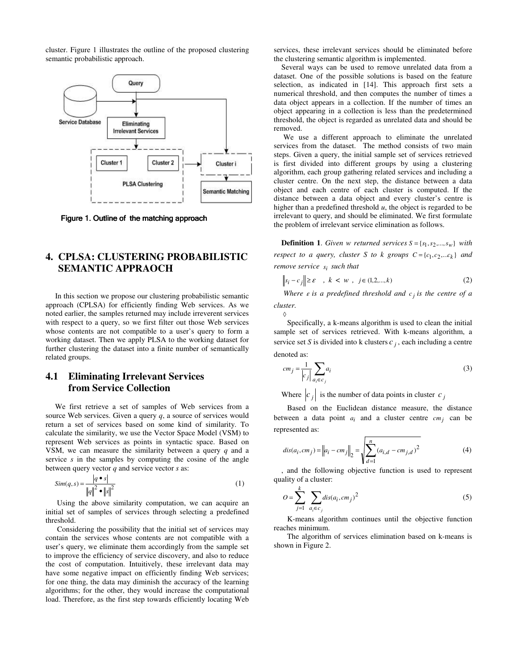cluster. Figure 1 illustrates the outline of the proposed clustering semantic probabilistic approach.



Figure 1. Outline of the matching approach

# **4. CPLSA: CLUSTERING PROBABILISTIC SEMANTIC APPRAOCH**

 In this section we propose our clustering probabilistic semantic approach (CPLSA) for efficiently finding Web services. As we noted earlier, the samples returned may include irreverent services with respect to a query, so we first filter out those Web services whose contents are not compatible to a user's query to form a working dataset. Then we apply PLSA to the working dataset for further clustering the dataset into a finite number of semantically related groups.

# **4.1 Eliminating Irrelevant Services from Service Collection**

 We first retrieve a set of samples of Web services from a source Web services. Given a query *q*, a source of services would return a set of services based on some kind of similarity. To calculate the similarity, we use the Vector Space Model (VSM) to represent Web services as points in syntactic space. Based on VSM, we can measure the similarity between a query *q* and a service *s* in the samples by computing the cosine of the angle between query vector *q* and service vector *s* as:

$$
Sim(q, s) = \frac{|q \bullet s|}{\|q\|^2 \bullet \|s\|^2}
$$
 (1)

 Using the above similarity computation, we can acquire an initial set of samples of services through selecting a predefined threshold.

 Considering the possibility that the initial set of services may contain the services whose contents are not compatible with a user's query, we eliminate them accordingly from the sample set to improve the efficiency of service discovery, and also to reduce the cost of computation. Intuitively, these irrelevant data may have some negative impact on efficiently finding Web services; for one thing, the data may diminish the accuracy of the learning algorithms; for the other, they would increase the computational load. Therefore, as the first step towards efficiently locating Web

services, these irrelevant services should be eliminated before the clustering semantic algorithm is implemented.

Several ways can be used to remove unrelated data from a dataset. One of the possible solutions is based on the feature selection, as indicated in [14]. This approach first sets a numerical threshold, and then computes the number of times a data object appears in a collection. If the number of times an object appearing in a collection is less than the predetermined threshold, the object is regarded as unrelated data and should be removed.

 We use a different approach to eliminate the unrelated services from the dataset. The method consists of two main steps. Given a query, the initial sample set of services retrieved is first divided into different groups by using a clustering algorithm, each group gathering related services and including a cluster centre. On the next step, the distance between a data object and each centre of each cluster is computed. If the distance between a data object and every cluster's centre is higher than a predefined threshold *u*, the object is regarded to be irrelevant to query, and should be eliminated. We first formulate the problem of irrelevant service elimination as follows.

**Definition 1.** *Given w returned services*  $S = \{s_1, s_2, \ldots, s_w\}$  *with respect to a query, cluster S to k groups*  $C = \{c_1, c_2, ... c_k\}$  *and remove service <sup>i</sup> s such that* 

$$
\|s_i - c_j\| \ge \varepsilon \quad , \ k < w \ , \ j \in (1, 2, \dots, k) \tag{2}
$$

*Where*  $\varepsilon$  *is a predefined threshold and*  $c_j$  *is the centre of a cluster.* 

◊

 Specifically, a k-means algorithm is used to clean the initial sample set of services retrieved. With k-means algorithm, a service set *S* is divided into k clusters  $c_j$ , each including a centre denoted as:

$$
cm_j = \frac{1}{|c_j|} \sum_{a_i \in c_j} a_i
$$
 (3)

Where  $|c_j|$  is the number of data points in cluster  $c_j$ 

 Based on the Euclidean distance measure, the distance between a data point  $a_i$  and a cluster centre  $cm_j$  can be represented as:

$$
dis(a_i, cm_j) = ||a_i - cm_j||_2 = \sqrt{\sum_{d=1}^{n} (a_{i,d} - cm_{j,d})^2}
$$
 (4)

, and the following objective function is used to represent quality of a cluster:

$$
O = \sum_{j=1}^{k} \sum_{a_i \in c_j} dis(a_i, cm_j)^2
$$
 (5)

 K-means algorithm continues until the objective function reaches minimum.

 The algorithm of services elimination based on k-means is shown in Figure 2.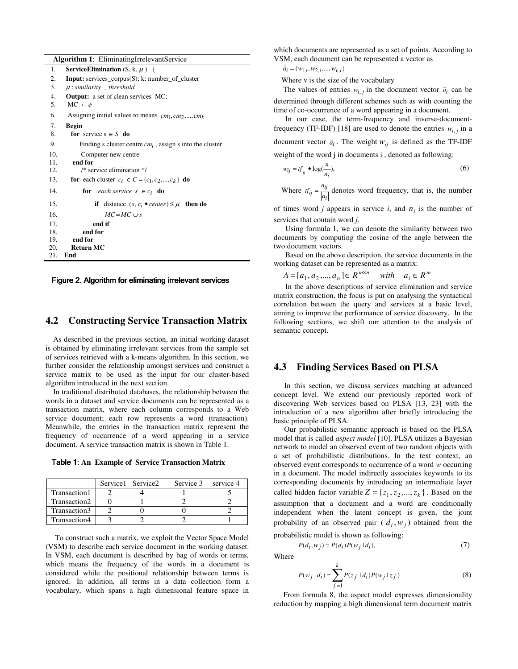| <b>Algorithm 1:</b> Eliminating Irrelevant Service |                                                             |  |
|----------------------------------------------------|-------------------------------------------------------------|--|
| 1.                                                 | <b>ServiceElimination</b> $(S, k, \mu)$ {                   |  |
| 2.                                                 | <b>Input:</b> services_corpus $(S)$ ; k: number_of_cluster  |  |
| 3.                                                 | $\mu$ : similarity _threshold                               |  |
| 4.                                                 | <b>Output:</b> a set of clean services MC;                  |  |
| 5.                                                 | $MC \leftarrow \phi$                                        |  |
| 6.                                                 | Assigning initial values to means $cm_1, cm_2, , cm_k$      |  |
| 7.                                                 | Begin                                                       |  |
| 8.                                                 | for service $s \in S$ do                                    |  |
| 9.                                                 | Finding s cluster centre $cm_i$ , assign s into the cluster |  |
| 10.                                                | Computer new centre                                         |  |

| 16.  | $MC = MC \cup s$ |  |
|------|------------------|--|
| 17.  | end if           |  |
| -18. | end for          |  |

15. **if** distance  $(s, c_i \bullet center) \leq \mu$  then do

13. **for** each cluster  $c_i \in C = \{c_1, c_2, ..., c_k\}$  **do** 14. **for** *each service*  $s \in c_i$  **do** 

 19. **end for** 20. **Return MC**

21. **End** 

11. **end for**

12. /\* service elimination \*/

#### Figure 2. Algorithm for eliminating irrelevant services

### **4.2 Constructing Service Transaction Matrix**

As described in the previous section, an initial working dataset is obtained by eliminating irrelevant services from the sample set of services retrieved with a k-means algorithm. In this section, we further consider the relationship amongst services and construct a service matrix to be used as the input for our cluster-based algorithm introduced in the next section.

In traditional distributed databases, the relationship between the words in a dataset and service documents can be represented as a transaction matrix, where each column corresponds to a Web service document; each row represents a word (transaction). Meanwhile, the entries in the transaction matrix represent the frequency of occurrence of a word appearing in a service document. A service transaction matrix is shown in Table 1.

#### Table 1: **An Example of Service Transaction Matrix**

|              | Service1 Service2 | Service 3 service 4 |  |
|--------------|-------------------|---------------------|--|
| Transaction1 |                   |                     |  |
| Transaction2 |                   |                     |  |
| Transaction3 |                   |                     |  |
| Transaction4 |                   |                     |  |

 To construct such a matrix, we exploit the Vector Space Model (VSM) to describe each service document in the working dataset. In VSM, each document is described by bag of words or terms, which means the frequency of the words in a document is considered while the positional relationship between terms is ignored. In addition, all terms in a data collection form a vocabulary, which spans a high dimensional feature space in which documents are represented as a set of points. According to VSM, each document can be represented a vector as

 $\vec{a}_i = (w_{1,i}, w_{2,i}, \dots, w_{\nu,i})$ 

*w tf*

Where v is the size of the vocabulary

The values of entries  $w_{i,j}$  in the document vector  $\vec{a}_i$  can be determined through different schemes such as with counting the time of co-occurrence of a word appearing in a document.

 In our case, the term-frequency and inverse-documentfrequency (TF-IDF) [18] are used to denote the entries  $w_{i,j}$  in a document vector  $\vec{a}_i$ . The weight  $w_{ij}$  is defined as the TF-IDF weight of the word j in documents i , denoted as following:

$$
y_{ij} = tf_{ij} \bullet \log(\frac{n}{n_i}),\tag{6}
$$

Where  $tf_{ij} = \frac{dy}{|a_i|}$  $\dot{a}_j = \frac{n_{ij}}{a_i}$  $tf_{ij} = \frac{n_{ij}}{n_{ij}}$  denotes word frequency, that is, the number

of times word *j* appears in service *i*, and  $n<sub>i</sub>$  is the number of services that contain word *j*.

 Using formula 1, we can denote the similarity between two documents by computing the cosine of the angle between the two document vectors.

 Based on the above description, the service documents in the working dataset can be represented as a matrix:

 $i \in R^m$  $A = [a_1, a_2, ..., a_n] \in R^{m \times n}$  with  $a_i \in R$ 

 In the above descriptions of service elimination and service matrix construction, the focus is put on analysing the syntactical correlation between the query and services at a basic level, aiming to improve the performance of service discovery. In the following sections, we shift our attention to the analysis of semantic concept.

### **4.3 Finding Services Based on PLSA**

In this section, we discuss services matching at advanced concept level. We extend our previously reported work of discovering Web services based on PLSA [13, 23] with the introduction of a new algorithm after briefly introducing the basic principle of PLSA.

Our probabilistic semantic approach is based on the PLSA model that is called *aspect model* [10]. PLSA utilizes a Bayesian network to model an observed event of two random objects with a set of probabilistic distributions. In the text context, an observed event corresponds to occurrence of a word *w* occurring in a document. The model indirectly associates keywords to its corresponding documents by introducing an intermediate layer called hidden factor variable  $Z = \{z_1, z_2, ..., z_k\}$ . Based on the assumption that a document and a word are conditionally independent when the latent concept is given, the joint probability of an observed pair ( $d_i, w_j$ ) obtained from the probabilistic model is shown as following:

$$
P(d_i, w_j) = P(d_i)P(w_j \mid d_i),\tag{7}
$$

Where

$$
P(w_j \mid d_i) = \sum_{f=1}^{k} P(z_f \mid d_i) P(w_j \mid z_f)
$$
 (8)

 From formula 8, the aspect model expresses dimensionality reduction by mapping a high dimensional term document matrix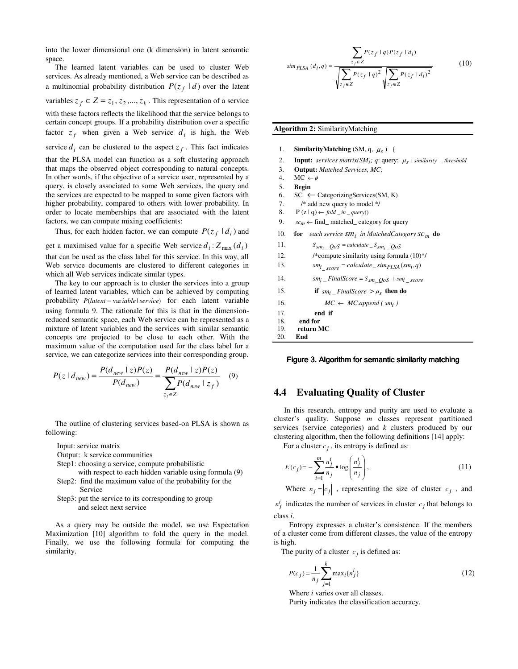into the lower dimensional one (k dimension) in latent semantic space.

 The learned latent variables can be used to cluster Web services. As already mentioned, a Web service can be described as a multinomial probability distribution  $P(z_f | d)$  over the latent variables  $z_f \in Z = z_1, z_2, ..., z_k$ . This representation of a service with these factors reflects the likelihood that the service belongs to certain concept groups. If a probability distribution over a specific factor  $z_f$  when given a Web service  $d_i$  is high, the Web service  $d_i$  can be clustered to the aspect  $z_f$ . This fact indicates that the PLSA model can function as a soft clustering approach that maps the observed object corresponding to natural concepts. In other words, if the objective of a service user, represented by a query, is closely associated to some Web services, the query and the services are expected to be mapped to some given factors with higher probability, compared to others with lower probability. In order to locate memberships that are associated with the latent

Thus, for each hidden factor, we can compute  $P(z_f | d_i)$  and

factors, we can compute mixing coefficients:

get a maximised value for a specific Web service  $d_i$ :  $Z_{\text{max}}(d_i)$ that can be used as the class label for this service. In this way, all Web service documents are clustered to different categories in which all Web services indicate similar types.

 The key to our approach is to cluster the services into a group of learned latent variables, which can be achieved by computing probability *P*(*latent* − var*iable* | *service*) for each latent variable using formula 9. The rationale for this is that in the dimensionreduced semantic space, each Web service can be represented as a mixture of latent variables and the services with similar semantic concepts are projected to be close to each other. With the maximum value of the computation used for the class label for a service, we can categorize services into their corresponding group.

$$
P(z \mid d_{new}) = \frac{P(d_{new} \mid z)P(z)}{P(d_{new})} = \frac{P(d_{new} \mid z)P(z)}{\sum_{z_f \in Z} P(d_{new} \mid z_f)} \tag{9}
$$

 The outline of clustering services based-on PLSA is shown as following:

Input: service matrix

Output: k service communities

- Step1: choosing a service, compute probabilistic
- with respect to each hidden variable using formula (9) Step2: find the maximum value of the probability for the
- Service Step3: put the service to its corresponding to group and select next service

 As a query may be outside the model, we use Expectation Maximization [10] algorithm to fold the query in the model. Finally, we use the following formula for computing the similarity.

$$
sim_{PLSA}(d_i, q) = \frac{\sum_{z_f \in Z} P(z_f \mid q) P(z_f \mid d_i)}{\sqrt{\sum_{z_f \in Z} P(z_f \mid q)^2} \sqrt{\sum_{z_f \in Z} P(z_f \mid d_i)^2}}
$$
(10)

#### **Algorithm 2:** SimilarityMatching

- 1. **SimilarityMatching**  $(SM, q, \mu_s)$  {
- 2. **Input:** *services matrix(SM); q*: query;  $\mu_s$  : *similarity* \_ *threshold*
- 3. **Output:** *Matched Services, MC;*
- 4. MC  $\leftarrow \phi$
- 5. **Begin**
- 6.  $SC \leftarrow$  Categorizing Services (SM, K) 7. /\* add new query to model \*/
- 8.  $P(z | q) \leftarrow fold\_in\_query()$
- 9.  $sc_m \leftarrow \text{find\_matched\_ category for query}$
- 10. **for** *each service*  $sm_i$  *in MatchedCategory*  $sc_m$  **do**
- 11.  $S_{sm_i}\_\_QoS = calculate\_\_S_{sm_i}\_\_QoS$
- 12. /\*compute similarity using formula (10)\*/
- 13.  $sm_{i\_score} = calculate\_simp_{LSA}(sm_i, q)$
- 14.  $sm_i\_FinalScore = S_{sm_i}\_QoS + sm_i\_score$
- 15. **if**  $sm_i$ <sub>*-FinalScore* >  $\mu_s$  **then do**</sub>
- 16.  $MC \leftarrow MC.append(\, sm_i\,)$
- 17. **end if**  18. **end for**
- 19. **return MC**
- 20. **End**

Figure 3. Algorithm for semantic similarity matching

## **4.4 Evaluating Quality of Cluster**

 In this research, entropy and purity are used to evaluate a cluster's quality. Suppose *m* classes represent partitioned services (service categories) and *k* clusters produced by our clustering algorithm, then the following definitions [14] apply:

For a cluster  $c_j$ , its entropy is defined as:

$$
E(c_j) = -\sum_{i=1}^{m} \frac{n_j^i}{n_j} \bullet \log\left(\frac{n_j^i}{n_j}\right),\tag{11}
$$

Where  $n_j = |c_j|$ , representing the size of cluster  $c_j$ , and

 $n_j^i$  indicates the number of services in cluster  $c_j$  that belongs to class *i*.

Entropy expresses a cluster's consistence. If the members of a cluster come from different classes, the value of the entropy is high.

The purity of a cluster  $c_j$  is defined as:

$$
P(c_j) = \frac{1}{n_j} \sum_{j=1}^{k} \max_i \{n_j^i\}
$$
 (12)

Where *i* varies over all classes.

Purity indicates the classification accuracy.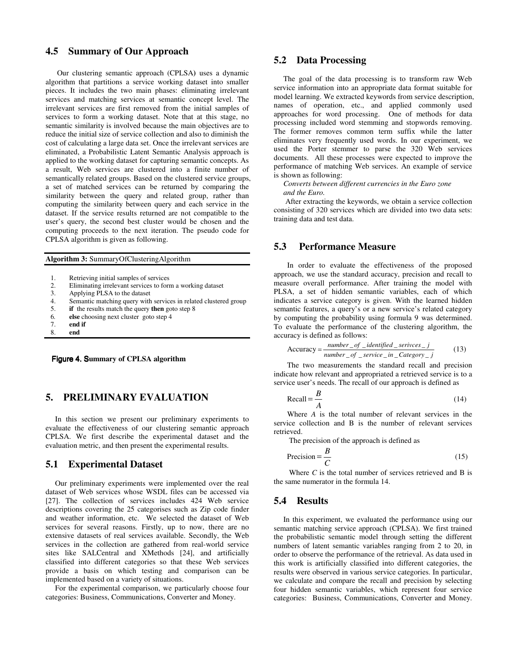# **4.5 Summary of Our Approach**

Our clustering semantic approach (CPLSA**)** uses a dynamic algorithm that partitions a service working dataset into smaller pieces. It includes the two main phases: eliminating irrelevant services and matching services at semantic concept level. The irrelevant services are first removed from the initial samples of services to form a working dataset. Note that at this stage, no semantic similarity is involved because the main objectives are to reduce the initial size of service collection and also to diminish the cost of calculating a large data set. Once the irrelevant services are eliminated, a Probabilistic Latent Semantic Analysis approach is applied to the working dataset for capturing semantic concepts. As a result, Web services are clustered into a finite number of semantically related groups. Based on the clustered service groups, a set of matched services can be returned by comparing the similarity between the query and related group, rather than computing the similarity between query and each service in the dataset. If the service results returned are not compatible to the user's query, the second best cluster would be chosen and the computing proceeds to the next iteration. The pseudo code for CPLSA algorithm is given as following.

**Algorithm 3:** SummaryOfClusteringAlgorithm

- 1. Retrieving initial samples of services
- 2. Eliminating irrelevant services to form a working dataset
- 
- 3. Applying PLSA to the dataset 4. Semantic matching query with Semantic matching query with services in related clustered group
- 5. **if** the results match the query **then** goto step 8
- 6*.* **else** choosing next cluster goto step 4
- 7. **end if** 8. **end**

Figure 4. Summary of CPLSA algorithm

# **5. PRELIMINARY EVALUATION**

 In this section we present our preliminary experiments to evaluate the effectiveness of our clustering semantic approach CPLSA. We first describe the experimental dataset and the evaluation metric, and then present the experimental results.

## **5.1 Experimental Dataset**

 Our preliminary experiments were implemented over the real dataset of Web services whose WSDL files can be accessed via [27]. The collection of services includes 424 Web service descriptions covering the 25 categorises such as Zip code finder and weather information, etc. We selected the dataset of Web services for several reasons. Firstly, up to now, there are no extensive datasets of real services available. Secondly, the Web services in the collection are gathered from real-world service sites like SALCentral and XMethods [24], and artificially classified into different categories so that these Web services provide a basis on which testing and comparison can be implemented based on a variety of situations.

 For the experimental comparison, we particularly choose four categories: Business, Communications, Converter and Money.

# **5.2 Data Processing**

 The goal of the data processing is to transform raw Web service information into an appropriate data format suitable for model learning. We extracted keywords from service description, names of operation, etc., and applied commonly used approaches for word processing. One of methods for data processing included word stemming and stopwords removing. The former removes common term suffix while the latter eliminates very frequently used words. In our experiment, we used the Porter stemmer to parse the 320 Web services documents. All these processes were expected to improve the performance of matching Web services. An example of service is shown as following:

 *Converts between different currencies in the Euro zone and the Euro.* 

 After extracting the keywords, we obtain a service collection consisting of 320 services which are divided into two data sets: training data and test data.

# **5.3 Performance Measure**

 In order to evaluate the effectiveness of the proposed approach, we use the standard accuracy, precision and recall to measure overall performance. After training the model with PLSA, a set of hidden semantic variables, each of which indicates a service category is given. With the learned hidden semantic features, a query's or a new service's related category by computing the probability using formula 9 was determined. To evaluate the performance of the clustering algorithm, the accuracy is defined as follows:

$$
Accuracy = \frac{number\_of\_identified\_series\_j}{number\_of\_service\_in\_Category\_j}
$$
(13)

 The two measurements the standard recall and precision indicate how relevant and appropriated a retrieved service is to a service user's needs. The recall of our approach is defined as

$$
Recall = \frac{B}{A}
$$
 (14)

 Where *A* is the total number of relevant services in the service collection and B is the number of relevant services retrieved.

The precision of the approach is defined as

$$
Precision = \frac{B}{C}
$$
 (15)

Where *C* is the total number of services retrieved and B is the same numerator in the formula 14.

### **5.4 Results**

 In this experiment, we evaluated the performance using our semantic matching service approach (CPLSA). We first trained the probabilistic semantic model through setting the different numbers of latent semantic variables ranging from 2 to 20, in order to observe the performance of the retrieval. As data used in this work is artificially classified into different categories, the results were observed in various service categories. In particular, we calculate and compare the recall and precision by selecting four hidden semantic variables, which represent four service categories: Business, Communications, Converter and Money.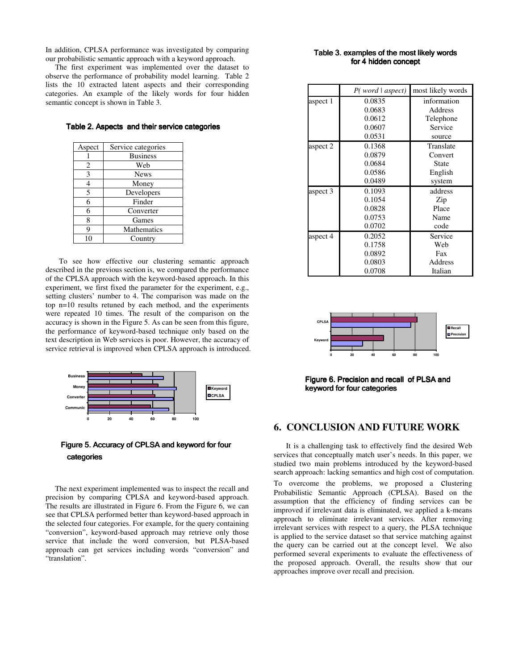In addition, CPLSA performance was investigated by comparing our probabilistic semantic approach with a keyword approach.

 The first experiment was implemented over the dataset to observe the performance of probability model learning. Table 2 lists the 10 extracted latent aspects and their corresponding categories. An example of the likely words for four hidden semantic concept is shown in Table 3.

| Table 2. Aspects and their service categories |  |
|-----------------------------------------------|--|
|                                               |  |

| Aspect | Service categories |
|--------|--------------------|
|        | <b>Business</b>    |
| 2      | Web                |
| 3      | <b>News</b>        |
| 4      | Money              |
| 5      | Developers         |
| 6      | Finder             |
| 6      | Converter          |
| 8      | Games              |
| Q      | Mathematics        |
|        | Country            |

 To see how effective our clustering semantic approach described in the previous section is, we compared the performance of the CPLSA approach with the keyword-based approach. In this experiment, we first fixed the parameter for the experiment, e.g., setting clusters' number to 4. The comparison was made on the top n=10 results retuned by each method, and the experiments were repeated 10 times. The result of the comparison on the accuracy is shown in the Figure 5. As can be seen from this figure, the performance of keyword-based technique only based on the text description in Web services is poor. However, the accuracy of service retrieval is improved when CPLSA approach is introduced.



Figure 5. Accuracy of CPLSA and keyword for four categories

 The next experiment implemented was to inspect the recall and precision by comparing CPLSA and keyword-based approach. The results are illustrated in Figure 6. From the Figure 6, we can see that CPLSA performed better than keyword-based approach in the selected four categories. For example, for the query containing "conversion", keyword-based approach may retrieve only those service that include the word conversion, but PLSA-based approach can get services including words "conversion" and "translation".

#### Table 3. examples of the most likely words for 4 hidden concept

|          | P(word   aspect) | most likely words |
|----------|------------------|-------------------|
| aspect 1 | 0.0835           | information       |
|          | 0.0683           | Address           |
|          | 0.0612           | Telephone         |
|          | 0.0607           | Service           |
|          | 0.0531           | source            |
| aspect 2 | 0.1368           | Translate         |
|          | 0.0879           | Convert           |
|          | 0.0684           | State             |
|          | 0.0586           | English           |
|          | 0.0489           | system            |
| aspect 3 | 0.1093           | address           |
|          | 0.1054           | Zip               |
|          | 0.0828           | Place             |
|          | 0.0753           | Name              |
|          | 0.0702           | code              |
| aspect 4 | 0.2052           | Service           |
|          | 0.1758           | Web               |
|          | 0.0892           | Fax               |
|          | 0.0803           | Address           |
|          | 0.0708           | Italian           |



Figure 6. Precision and recall of PLSA and keyword for four categories

# **6. CONCLUSION AND FUTURE WORK**

 It is a challenging task to effectively find the desired Web services that conceptually match user's needs. In this paper, we studied two main problems introduced by the keyword-based search approach: lacking semantics and high cost of computation. To overcome the problems, we proposed a clustering Probabilistic Semantic Approach (CPLSA). Based on the assumption that the efficiency of finding services can be improved if irrelevant data is eliminated, we applied a k-means approach to eliminate irrelevant services. After removing irrelevant services with respect to a query, the PLSA technique is applied to the service dataset so that service matching against the query can be carried out at the concept level. We also performed several experiments to evaluate the effectiveness of the proposed approach. Overall, the results show that our approaches improve over recall and precision.